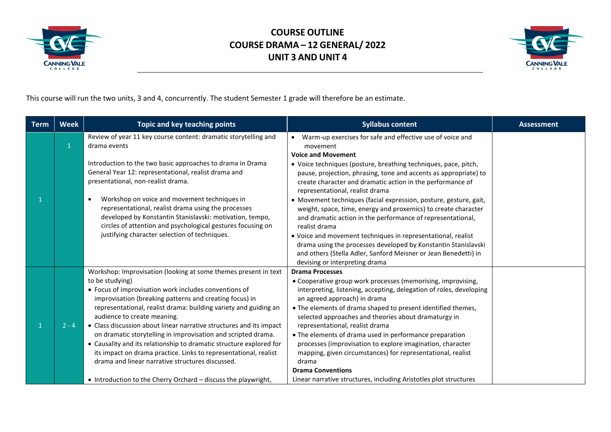



This course will run the two units, 3 and 4, concurrently. The student Semester 1 grade will therefore be an estimate.

| <b>Term</b> | <b>Week</b> | Topic and key teaching points                                                                                                                                                                                                                                                                                                                                                                                                                                                                                                                                                                                                                                                                                      | <b>Syllabus content</b>                                                                                                                                                                                                                                                                                                                                                                                                                                                                                                                                                                                                                                                                                                                                                  | <b>Assessment</b> |
|-------------|-------------|--------------------------------------------------------------------------------------------------------------------------------------------------------------------------------------------------------------------------------------------------------------------------------------------------------------------------------------------------------------------------------------------------------------------------------------------------------------------------------------------------------------------------------------------------------------------------------------------------------------------------------------------------------------------------------------------------------------------|--------------------------------------------------------------------------------------------------------------------------------------------------------------------------------------------------------------------------------------------------------------------------------------------------------------------------------------------------------------------------------------------------------------------------------------------------------------------------------------------------------------------------------------------------------------------------------------------------------------------------------------------------------------------------------------------------------------------------------------------------------------------------|-------------------|
| 1           |             | Review of year 11 key course content: dramatic storytelling and<br>drama events<br>Introduction to the two basic approaches to drama in Drama<br>General Year 12: representational, realist drama and<br>presentational, non-realist drama.<br>Workshop on voice and movement techniques in<br>$\bullet$<br>representational, realist drama using the processes<br>developed by Konstantin Stanislavski: motivation, tempo,<br>circles of attention and psychological gestures focusing on<br>justifying character selection of techniques.                                                                                                                                                                        | • Warm-up exercises for safe and effective use of voice and<br>movement<br><b>Voice and Movement</b><br>• Voice techniques (posture, breathing techniques, pace, pitch,<br>pause, projection, phrasing, tone and accents as appropriate) to<br>create character and dramatic action in the performance of<br>representational, realist drama<br>• Movement techniques (facial expression, posture, gesture, gait,<br>weight, space, time, energy and proxemics) to create character<br>and dramatic action in the performance of representational,<br>realist drama<br>• Voice and movement techniques in representational, realist<br>drama using the processes developed by Konstantin Stanislavski<br>and others (Stella Adler, Sanford Meisner or Jean Benedetti) in |                   |
|             | $2 - 4$     | Workshop: Improvisation (looking at some themes present in text<br>to be studying)<br>• Focus of improvisation work includes conventions of<br>improvisation (breaking patterns and creating focus) in<br>representational, realist drama: building variety and guiding an<br>audience to create meaning.<br>• Class discussion about linear narrative structures and its impact<br>on dramatic storytelling in improvisation and scripted drama.<br>• Causality and its relationship to dramatic structure explored for<br>its impact on drama practice. Links to representational, realist<br>drama and linear narrative structures discussed.<br>• Introduction to the Cherry Orchard - discuss the playwright, | devising or interpreting drama<br><b>Drama Processes</b><br>• Cooperative group work processes (memorising, improvising,<br>interpreting, listening, accepting, delegation of roles, developing<br>an agreed approach) in drama<br>• The elements of drama shaped to present identified themes,<br>selected approaches and theories about dramaturgy in<br>representational, realist drama<br>• The elements of drama used in performance preparation<br>processes (improvisation to explore imagination, character<br>mapping, given circumstances) for representational, realist<br>drama<br><b>Drama Conventions</b><br>Linear narrative structures, including Aristotles plot structures                                                                             |                   |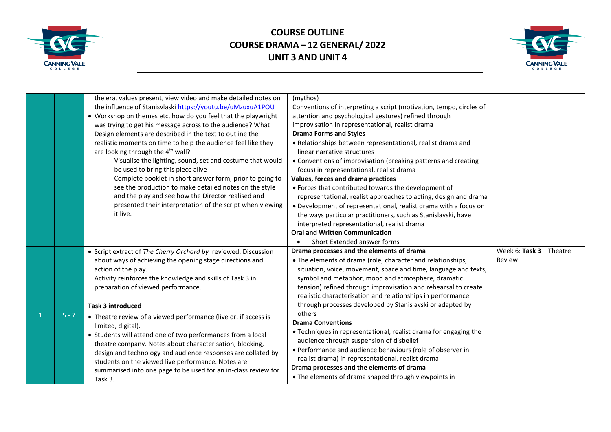



|         | the era, values present, view video and make detailed notes on<br>the influence of Stanisvlaski https://youtu.be/uMzuxuA1POU<br>• Workshop on themes etc, how do you feel that the playwright<br>was trying to get his message across to the audience? What<br>Design elements are described in the text to outline the<br>realistic moments on time to help the audience feel like they<br>are looking through the 4 <sup>th</sup> wall?<br>Visualise the lighting, sound, set and costume that would<br>be used to bring this piece alive<br>Complete booklet in short answer form, prior to going to<br>see the production to make detailed notes on the style<br>and the play and see how the Director realised and<br>presented their interpretation of the script when viewing<br>it live. | (mythos)<br>Conventions of interpreting a script (motivation, tempo, circles of<br>attention and psychological gestures) refined through<br>improvisation in representational, realist drama<br><b>Drama Forms and Styles</b><br>• Relationships between representational, realist drama and<br>linear narrative structures<br>• Conventions of improvisation (breaking patterns and creating<br>focus) in representational, realist drama<br>Values, forces and drama practices<br>• Forces that contributed towards the development of<br>representational, realist approaches to acting, design and drama<br>• Development of representational, realist drama with a focus on<br>the ways particular practitioners, such as Stanislavski, have<br>interpreted representational, realist drama<br><b>Oral and Written Communication</b><br>Short Extended answer forms |                                      |
|---------|--------------------------------------------------------------------------------------------------------------------------------------------------------------------------------------------------------------------------------------------------------------------------------------------------------------------------------------------------------------------------------------------------------------------------------------------------------------------------------------------------------------------------------------------------------------------------------------------------------------------------------------------------------------------------------------------------------------------------------------------------------------------------------------------------|--------------------------------------------------------------------------------------------------------------------------------------------------------------------------------------------------------------------------------------------------------------------------------------------------------------------------------------------------------------------------------------------------------------------------------------------------------------------------------------------------------------------------------------------------------------------------------------------------------------------------------------------------------------------------------------------------------------------------------------------------------------------------------------------------------------------------------------------------------------------------|--------------------------------------|
| $5 - 7$ | • Script extract of The Cherry Orchard by reviewed. Discussion<br>about ways of achieving the opening stage directions and<br>action of the play.<br>Activity reinforces the knowledge and skills of Task 3 in<br>preparation of viewed performance.<br><b>Task 3 introduced</b><br>• Theatre review of a viewed performance (live or, if access is<br>limited, digital).<br>• Students will attend one of two performances from a local<br>theatre company. Notes about characterisation, blocking,<br>design and technology and audience responses are collated by<br>students on the viewed live performance. Notes are<br>summarised into one page to be used for an in-class review for<br>Task 3.                                                                                          | Drama processes and the elements of drama<br>• The elements of drama (role, character and relationships,<br>situation, voice, movement, space and time, language and texts,<br>symbol and metaphor, mood and atmosphere, dramatic<br>tension) refined through improvisation and rehearsal to create<br>realistic characterisation and relationships in performance<br>through processes developed by Stanislavski or adapted by<br>others<br><b>Drama Conventions</b><br>• Techniques in representational, realist drama for engaging the<br>audience through suspension of disbelief<br>• Performance and audience behaviours (role of observer in<br>realist drama) in representational, realist drama<br>Drama processes and the elements of drama<br>• The elements of drama shaped through viewpoints in                                                            | Week 6: Task $3$ – Theatre<br>Review |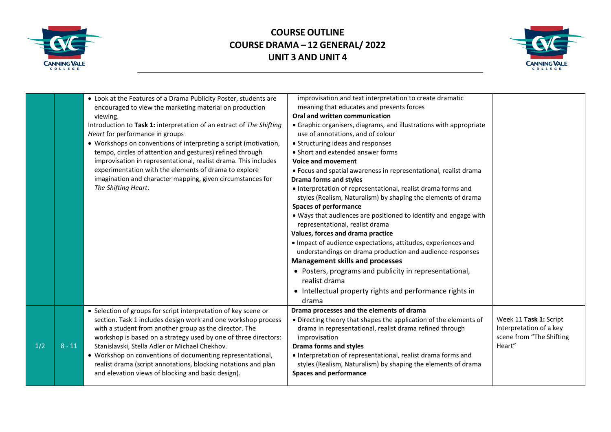



|     |          | • Look at the Features of a Drama Publicity Poster, students are<br>encouraged to view the marketing material on production<br>viewing.<br>Introduction to Task 1: interpretation of an extract of The Shifting<br>Heart for performance in groups<br>• Workshops on conventions of interpreting a script (motivation,<br>tempo, circles of attention and gestures) refined through<br>improvisation in representational, realist drama. This includes<br>experimentation with the elements of drama to explore<br>imagination and character mapping, given circumstances for<br>The Shifting Heart. | improvisation and text interpretation to create dramatic<br>meaning that educates and presents forces<br>Oral and written communication<br>• Graphic organisers, diagrams, and illustrations with appropriate<br>use of annotations, and of colour<br>• Structuring ideas and responses<br>• Short and extended answer forms<br>Voice and movement<br>• Focus and spatial awareness in representational, realist drama<br><b>Drama forms and styles</b><br>• Interpretation of representational, realist drama forms and                                          |                                                                                         |
|-----|----------|------------------------------------------------------------------------------------------------------------------------------------------------------------------------------------------------------------------------------------------------------------------------------------------------------------------------------------------------------------------------------------------------------------------------------------------------------------------------------------------------------------------------------------------------------------------------------------------------------|-------------------------------------------------------------------------------------------------------------------------------------------------------------------------------------------------------------------------------------------------------------------------------------------------------------------------------------------------------------------------------------------------------------------------------------------------------------------------------------------------------------------------------------------------------------------|-----------------------------------------------------------------------------------------|
|     |          |                                                                                                                                                                                                                                                                                                                                                                                                                                                                                                                                                                                                      | styles (Realism, Naturalism) by shaping the elements of drama<br><b>Spaces of performance</b><br>. Ways that audiences are positioned to identify and engage with<br>representational, realist drama<br>Values, forces and drama practice<br>• Impact of audience expectations, attitudes, experiences and<br>understandings on drama production and audience responses<br><b>Management skills and processes</b><br>• Posters, programs and publicity in representational,<br>realist drama<br>• Intellectual property rights and performance rights in<br>drama |                                                                                         |
| 1/2 | $8 - 11$ | • Selection of groups for script interpretation of key scene or<br>section. Task 1 includes design work and one workshop process<br>with a student from another group as the director. The<br>workshop is based on a strategy used by one of three directors:<br>Stanislavski, Stella Adler or Michael Chekhov.<br>• Workshop on conventions of documenting representational,<br>realist drama (script annotations, blocking notations and plan<br>and elevation views of blocking and basic design).                                                                                                | Drama processes and the elements of drama<br>• Directing theory that shapes the application of the elements of<br>drama in representational, realist drama refined through<br>improvisation<br><b>Drama forms and styles</b><br>• Interpretation of representational, realist drama forms and<br>styles (Realism, Naturalism) by shaping the elements of drama<br><b>Spaces and performance</b>                                                                                                                                                                   | Week 11 Task 1: Script<br>Interpretation of a key<br>scene from "The Shifting<br>Heart" |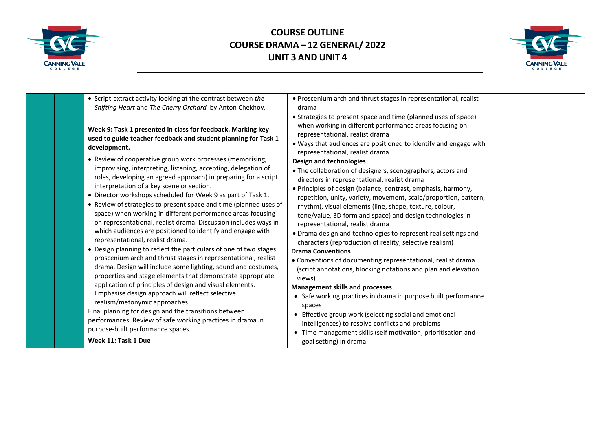



| • Script-extract activity looking at the contrast between the<br>Shifting Heart and The Cherry Orchard by Anton Chekhov.<br>Week 9: Task 1 presented in class for feedback. Marking key<br>used to guide teacher feedback and student planning for Task 1<br>development.                                                                                                                                                                                                                                                                                                                                            | • Proscenium arch and thrust stages in representational, realist<br>drama<br>• Strategies to present space and time (planned uses of space)<br>when working in different performance areas focusing on<br>representational, realist drama<br>• Ways that audiences are positioned to identify and engage with<br>representational, realist drama                                                                                                                                                                                                                    |  |
|----------------------------------------------------------------------------------------------------------------------------------------------------------------------------------------------------------------------------------------------------------------------------------------------------------------------------------------------------------------------------------------------------------------------------------------------------------------------------------------------------------------------------------------------------------------------------------------------------------------------|---------------------------------------------------------------------------------------------------------------------------------------------------------------------------------------------------------------------------------------------------------------------------------------------------------------------------------------------------------------------------------------------------------------------------------------------------------------------------------------------------------------------------------------------------------------------|--|
| • Review of cooperative group work processes (memorising,<br>improvising, interpreting, listening, accepting, delegation of<br>roles, developing an agreed approach) in preparing for a script<br>interpretation of a key scene or section.<br>• Director workshops scheduled for Week 9 as part of Task 1.<br>• Review of strategies to present space and time (planned uses of<br>space) when working in different performance areas focusing<br>on representational, realist drama. Discussion includes ways in<br>which audiences are positioned to identify and engage with<br>representational, realist drama. | Design and technologies<br>• The collaboration of designers, scenographers, actors and<br>directors in representational, realist drama<br>• Principles of design (balance, contrast, emphasis, harmony,<br>repetition, unity, variety, movement, scale/proportion, pattern,<br>rhythm), visual elements (line, shape, texture, colour,<br>tone/value, 3D form and space) and design technologies in<br>representational, realist drama<br>• Drama design and technologies to represent real settings and<br>characters (reproduction of reality, selective realism) |  |
| • Design planning to reflect the particulars of one of two stages:<br>proscenium arch and thrust stages in representational, realist<br>drama. Design will include some lighting, sound and costumes,<br>properties and stage elements that demonstrate appropriate<br>application of principles of design and visual elements.<br>Emphasise design approach will reflect selective<br>realism/metonymic approaches.<br>Final planning for design and the transitions between<br>performances. Review of safe working practices in drama in<br>purpose-built performance spaces.<br>Week 11: Task 1 Due              | <b>Drama Conventions</b><br>• Conventions of documenting representational, realist drama<br>(script annotations, blocking notations and plan and elevation<br>views)<br><b>Management skills and processes</b><br>• Safe working practices in drama in purpose built performance<br>spaces<br>• Effective group work (selecting social and emotional<br>intelligences) to resolve conflicts and problems<br>• Time management skills (self motivation, prioritisation and<br>goal setting) in drama                                                                 |  |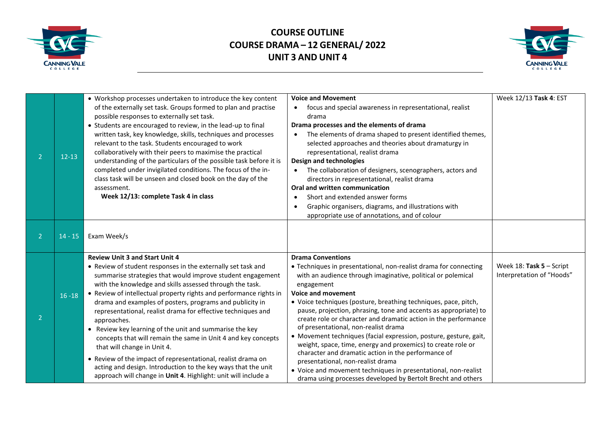



| $\overline{2}$ | $12 - 13$ | • Workshop processes undertaken to introduce the key content<br>of the externally set task. Groups formed to plan and practise<br>possible responses to externally set task.<br>• Students are encouraged to review, in the lead-up to final<br>written task, key knowledge, skills, techniques and processes<br>relevant to the task. Students encouraged to work<br>collaboratively with their peers to maximise the practical<br>understanding of the particulars of the possible task before it is<br>completed under invigilated conditions. The focus of the in-<br>class task will be unseen and closed book on the day of the<br>assessment.<br>Week 12/13: complete Task 4 in class                                                                                                                   | <b>Voice and Movement</b><br>focus and special awareness in representational, realist<br>drama<br>Drama processes and the elements of drama<br>The elements of drama shaped to present identified themes,<br>selected approaches and theories about dramaturgy in<br>representational, realist drama<br>Design and technologies<br>The collaboration of designers, scenographers, actors and<br>directors in representational, realist drama<br>Oral and written communication<br>Short and extended answer forms<br>Graphic organisers, diagrams, and illustrations with<br>appropriate use of annotations, and of colour                                                                                                                                                                                                   | Week 12/13 Task 4: EST                                  |
|----------------|-----------|----------------------------------------------------------------------------------------------------------------------------------------------------------------------------------------------------------------------------------------------------------------------------------------------------------------------------------------------------------------------------------------------------------------------------------------------------------------------------------------------------------------------------------------------------------------------------------------------------------------------------------------------------------------------------------------------------------------------------------------------------------------------------------------------------------------|------------------------------------------------------------------------------------------------------------------------------------------------------------------------------------------------------------------------------------------------------------------------------------------------------------------------------------------------------------------------------------------------------------------------------------------------------------------------------------------------------------------------------------------------------------------------------------------------------------------------------------------------------------------------------------------------------------------------------------------------------------------------------------------------------------------------------|---------------------------------------------------------|
| $\mathcal{P}$  | $14 - 15$ | Exam Week/s                                                                                                                                                                                                                                                                                                                                                                                                                                                                                                                                                                                                                                                                                                                                                                                                    |                                                                                                                                                                                                                                                                                                                                                                                                                                                                                                                                                                                                                                                                                                                                                                                                                              |                                                         |
| $\overline{2}$ | $16 - 18$ | <b>Review Unit 3 and Start Unit 4</b><br>• Review of student responses in the externally set task and<br>summarise strategies that would improve student engagement<br>with the knowledge and skills assessed through the task.<br>• Review of intellectual property rights and performance rights in<br>drama and examples of posters, programs and publicity in<br>representational, realist drama for effective techniques and<br>approaches.<br>• Review key learning of the unit and summarise the key<br>concepts that will remain the same in Unit 4 and key concepts<br>that will change in Unit 4.<br>• Review of the impact of representational, realist drama on<br>acting and design. Introduction to the key ways that the unit<br>approach will change in Unit 4. Highlight: unit will include a | <b>Drama Conventions</b><br>• Techniques in presentational, non-realist drama for connecting<br>with an audience through imaginative, political or polemical<br>engagement<br><b>Voice and movement</b><br>• Voice techniques (posture, breathing techniques, pace, pitch,<br>pause, projection, phrasing, tone and accents as appropriate) to<br>create role or character and dramatic action in the performance<br>of presentational, non-realist drama<br>• Movement techniques (facial expression, posture, gesture, gait,<br>weight, space, time, energy and proxemics) to create role or<br>character and dramatic action in the performance of<br>presentational, non-realist drama<br>• Voice and movement techniques in presentational, non-realist<br>drama using processes developed by Bertolt Brecht and others | Week $18:$ Task 5 – Script<br>Interpretation of "Hoods" |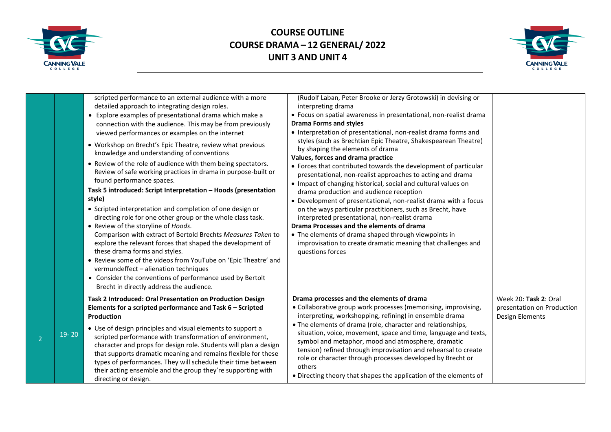



|                |           | scripted performance to an external audience with a more<br>detailed approach to integrating design roles.<br>• Explore examples of presentational drama which make a<br>connection with the audience. This may be from previously<br>viewed performances or examples on the internet<br>• Workshop on Brecht's Epic Theatre, review what previous<br>knowledge and understanding of conventions<br>• Review of the role of audience with them being spectators.<br>Review of safe working practices in drama in purpose-built or<br>found performance spaces.<br>Task 5 introduced: Script Interpretation - Hoods (presentation<br>style)<br>• Scripted interpretation and completion of one design or<br>directing role for one other group or the whole class task.<br>• Review of the storyline of Hoods.<br>Comparison with extract of Bertold Brechts Measures Taken to<br>explore the relevant forces that shaped the development of<br>these drama forms and styles.<br>• Review some of the videos from YouTube on 'Epic Theatre' and<br>vermundeffect - alienation techniques | (Rudolf Laban, Peter Brooke or Jerzy Grotowski) in devising or<br>interpreting drama<br>• Focus on spatial awareness in presentational, non-realist drama<br><b>Drama Forms and styles</b><br>• Interpretation of presentational, non-realist drama forms and<br>styles (such as Brechtian Epic Theatre, Shakespearean Theatre)<br>by shaping the elements of drama<br>Values, forces and drama practice<br>• Forces that contributed towards the development of particular<br>presentational, non-realist approaches to acting and drama<br>• Impact of changing historical, social and cultural values on<br>drama production and audience reception<br>• Development of presentational, non-realist drama with a focus<br>on the ways particular practitioners, such as Brecht, have<br>interpreted presentational, non-realist drama<br>Drama Processes and the elements of drama<br>• The elements of drama shaped through viewpoints in<br>improvisation to create dramatic meaning that challenges and<br>questions forces |                                                                        |
|----------------|-----------|-----------------------------------------------------------------------------------------------------------------------------------------------------------------------------------------------------------------------------------------------------------------------------------------------------------------------------------------------------------------------------------------------------------------------------------------------------------------------------------------------------------------------------------------------------------------------------------------------------------------------------------------------------------------------------------------------------------------------------------------------------------------------------------------------------------------------------------------------------------------------------------------------------------------------------------------------------------------------------------------------------------------------------------------------------------------------------------------|-----------------------------------------------------------------------------------------------------------------------------------------------------------------------------------------------------------------------------------------------------------------------------------------------------------------------------------------------------------------------------------------------------------------------------------------------------------------------------------------------------------------------------------------------------------------------------------------------------------------------------------------------------------------------------------------------------------------------------------------------------------------------------------------------------------------------------------------------------------------------------------------------------------------------------------------------------------------------------------------------------------------------------------|------------------------------------------------------------------------|
|                |           | • Consider the conventions of performance used by Bertolt<br>Brecht in directly address the audience.                                                                                                                                                                                                                                                                                                                                                                                                                                                                                                                                                                                                                                                                                                                                                                                                                                                                                                                                                                                   |                                                                                                                                                                                                                                                                                                                                                                                                                                                                                                                                                                                                                                                                                                                                                                                                                                                                                                                                                                                                                                   |                                                                        |
| $\overline{2}$ | $19 - 20$ | Task 2 Introduced: Oral Presentation on Production Design<br>Elements for a scripted performance and Task 6 - Scripted<br>Production<br>• Use of design principles and visual elements to support a<br>scripted performance with transformation of environment,<br>character and props for design role. Students will plan a design<br>that supports dramatic meaning and remains flexible for these<br>types of performances. They will schedule their time between<br>their acting ensemble and the group they're supporting with<br>directing or design.                                                                                                                                                                                                                                                                                                                                                                                                                                                                                                                             | Drama processes and the elements of drama<br>• Collaborative group work processes (memorising, improvising,<br>interpreting, workshopping, refining) in ensemble drama<br>• The elements of drama (role, character and relationships,<br>situation, voice, movement, space and time, language and texts,<br>symbol and metaphor, mood and atmosphere, dramatic<br>tension) refined through improvisation and rehearsal to create<br>role or character through processes developed by Brecht or<br>others<br>• Directing theory that shapes the application of the elements of                                                                                                                                                                                                                                                                                                                                                                                                                                                     | Week 20: Task 2: Oral<br>presentation on Production<br>Design Elements |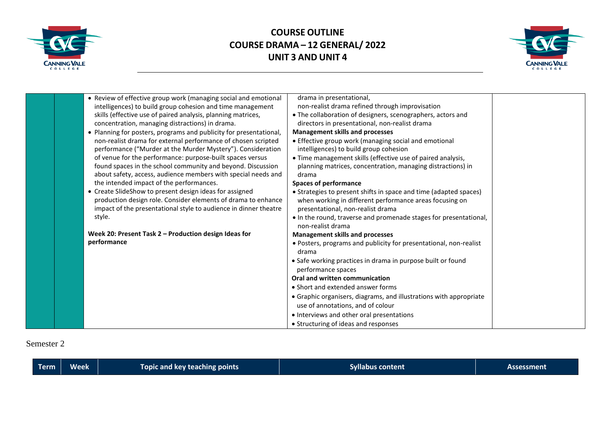



|  | • Review of effective group work (managing social and emotional    | drama in presentational,                                           |  |
|--|--------------------------------------------------------------------|--------------------------------------------------------------------|--|
|  | intelligences) to build group cohesion and time management         | non-realist drama refined through improvisation                    |  |
|  | skills (effective use of paired analysis, planning matrices,       | • The collaboration of designers, scenographers, actors and        |  |
|  | concentration, managing distractions) in drama.                    | directors in presentational, non-realist drama                     |  |
|  | • Planning for posters, programs and publicity for presentational, | <b>Management skills and processes</b>                             |  |
|  | non-realist drama for external performance of chosen scripted      | • Effective group work (managing social and emotional              |  |
|  | performance ("Murder at the Murder Mystery"). Consideration        | intelligences) to build group cohesion                             |  |
|  | of venue for the performance: purpose-built spaces versus          | • Time management skills (effective use of paired analysis,        |  |
|  | found spaces in the school community and beyond. Discussion        | planning matrices, concentration, managing distractions) in        |  |
|  | about safety, access, audience members with special needs and      | drama                                                              |  |
|  | the intended impact of the performances.                           | <b>Spaces of performance</b>                                       |  |
|  | • Create SlideShow to present design ideas for assigned            | • Strategies to present shifts in space and time (adapted spaces)  |  |
|  | production design role. Consider elements of drama to enhance      | when working in different performance areas focusing on            |  |
|  | impact of the presentational style to audience in dinner theatre   | presentational, non-realist drama                                  |  |
|  | style.                                                             | • In the round, traverse and promenade stages for presentational,  |  |
|  |                                                                    | non-realist drama                                                  |  |
|  | Week 20: Present Task 2 - Production design Ideas for              | <b>Management skills and processes</b>                             |  |
|  | performance                                                        | • Posters, programs and publicity for presentational, non-realist  |  |
|  |                                                                    | drama                                                              |  |
|  |                                                                    | • Safe working practices in drama in purpose built or found        |  |
|  |                                                                    | performance spaces                                                 |  |
|  |                                                                    | Oral and written communication                                     |  |
|  |                                                                    | • Short and extended answer forms                                  |  |
|  |                                                                    | • Graphic organisers, diagrams, and illustrations with appropriate |  |
|  |                                                                    | use of annotations, and of colour                                  |  |
|  |                                                                    | • Interviews and other oral presentations                          |  |
|  |                                                                    | • Structuring of ideas and responses                               |  |

#### Semester 2

|  |  | <b>Term</b> | Week <sup>1</sup> | Topic and key teaching points <sub>.</sub> | .<br><b>Syllabus content</b> | Assessment |
|--|--|-------------|-------------------|--------------------------------------------|------------------------------|------------|
|--|--|-------------|-------------------|--------------------------------------------|------------------------------|------------|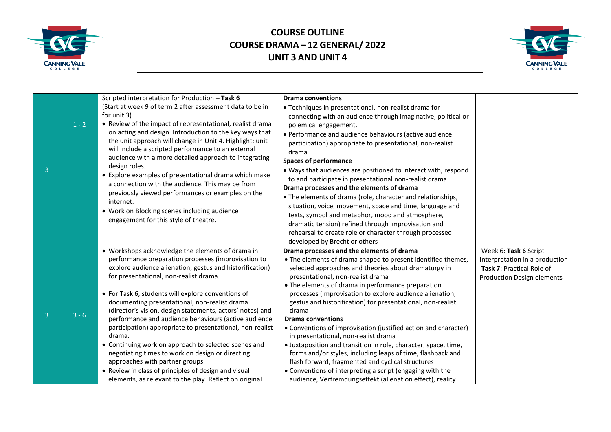



|                |         | Scripted interpretation for Production - Task 6                                                                                                                                                                                                                                                                                                                                                                                                                                                                                                                                                                                                                                                                                                                                   | <b>Drama conventions</b>                                                                                                                                                                                                                                                                                                                                                                                                                                                                                                                                                                                                                                                                                                                                                                                                                                 |                                                                                                                           |
|----------------|---------|-----------------------------------------------------------------------------------------------------------------------------------------------------------------------------------------------------------------------------------------------------------------------------------------------------------------------------------------------------------------------------------------------------------------------------------------------------------------------------------------------------------------------------------------------------------------------------------------------------------------------------------------------------------------------------------------------------------------------------------------------------------------------------------|----------------------------------------------------------------------------------------------------------------------------------------------------------------------------------------------------------------------------------------------------------------------------------------------------------------------------------------------------------------------------------------------------------------------------------------------------------------------------------------------------------------------------------------------------------------------------------------------------------------------------------------------------------------------------------------------------------------------------------------------------------------------------------------------------------------------------------------------------------|---------------------------------------------------------------------------------------------------------------------------|
| 3              | $1 - 2$ | (Start at week 9 of term 2 after assessment data to be in<br>for unit 3)<br>• Review of the impact of representational, realist drama<br>on acting and design. Introduction to the key ways that<br>the unit approach will change in Unit 4. Highlight: unit<br>will include a scripted performance to an external<br>audience with a more detailed approach to integrating<br>design roles.<br>• Explore examples of presentational drama which make<br>a connection with the audience. This may be from<br>previously viewed performances or examples on the<br>internet.<br>• Work on Blocking scenes including audience<br>engagement for this style of theatre.                                                                                                              | • Techniques in presentational, non-realist drama for<br>connecting with an audience through imaginative, political or<br>polemical engagement.<br>• Performance and audience behaviours (active audience<br>participation) appropriate to presentational, non-realist<br>drama<br><b>Spaces of performance</b><br>• Ways that audiences are positioned to interact with, respond<br>to and participate in presentational non-realist drama<br>Drama processes and the elements of drama<br>• The elements of drama (role, character and relationships,<br>situation, voice, movement, space and time, language and<br>texts, symbol and metaphor, mood and atmosphere,<br>dramatic tension) refined through improvisation and<br>rehearsal to create role or character through processed<br>developed by Brecht or others                               |                                                                                                                           |
| $\overline{3}$ | $3 - 6$ | • Workshops acknowledge the elements of drama in<br>performance preparation processes (improvisation to<br>explore audience alienation, gestus and historification)<br>for presentational, non-realist drama.<br>• For Task 6, students will explore conventions of<br>documenting presentational, non-realist drama<br>(director's vision, design statements, actors' notes) and<br>performance and audience behaviours (active audience<br>participation) appropriate to presentational, non-realist<br>drama.<br>• Continuing work on approach to selected scenes and<br>negotiating times to work on design or directing<br>approaches with partner groups.<br>• Review in class of principles of design and visual<br>elements, as relevant to the play. Reflect on original | Drama processes and the elements of drama<br>• The elements of drama shaped to present identified themes,<br>selected approaches and theories about dramaturgy in<br>presentational, non-realist drama<br>• The elements of drama in performance preparation<br>processes (improvisation to explore audience alienation,<br>gestus and historification) for presentational, non-realist<br>drama<br><b>Drama conventions</b><br>• Conventions of improvisation (justified action and character)<br>in presentational, non-realist drama<br>· Juxtaposition and transition in role, character, space, time,<br>forms and/or styles, including leaps of time, flashback and<br>flash forward, fragmented and cyclical structures<br>• Conventions of interpreting a script (engaging with the<br>audience, Verfremdungseffekt (alienation effect), reality | Week 6: Task 6 Script<br>Interpretation in a production<br>Task 7: Practical Role of<br><b>Production Design elements</b> |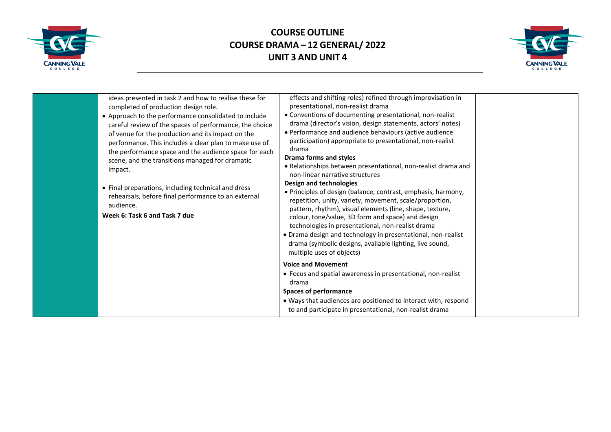



| ideas presented in task 2 and how to realise these for  | effects and shifting roles) refined through improvisation in<br>presentational, non-realist drama |  |
|---------------------------------------------------------|---------------------------------------------------------------------------------------------------|--|
| completed of production design role.                    |                                                                                                   |  |
| • Approach to the performance consolidated to include   | • Conventions of documenting presentational, non-realist                                          |  |
| careful review of the spaces of performance, the choice | drama (director's vision, design statements, actors' notes)                                       |  |
| of venue for the production and its impact on the       | • Performance and audience behaviours (active audience                                            |  |
| performance. This includes a clear plan to make use of  | participation) appropriate to presentational, non-realist<br>drama                                |  |
| the performance space and the audience space for each   | <b>Drama forms and styles</b>                                                                     |  |
| scene, and the transitions managed for dramatic         |                                                                                                   |  |
| impact.                                                 | · Relationships between presentational, non-realist drama and<br>non-linear narrative structures  |  |
|                                                         | Design and technologies                                                                           |  |
| • Final preparations, including technical and dress     | • Principles of design (balance, contrast, emphasis, harmony,                                     |  |
| rehearsals, before final performance to an external     | repetition, unity, variety, movement, scale/proportion,                                           |  |
| audience.                                               | pattern, rhythm), visual elements (line, shape, texture,                                          |  |
| Week 6: Task 6 and Task 7 due                           | colour, tone/value, 3D form and space) and design                                                 |  |
|                                                         | technologies in presentational, non-realist drama                                                 |  |
|                                                         | • Drama design and technology in presentational, non-realist                                      |  |
|                                                         | drama (symbolic designs, available lighting, live sound,                                          |  |
|                                                         | multiple uses of objects)                                                                         |  |
|                                                         |                                                                                                   |  |
|                                                         | <b>Voice and Movement</b>                                                                         |  |
|                                                         | • Focus and spatial awareness in presentational, non-realist                                      |  |
|                                                         | drama                                                                                             |  |
|                                                         | <b>Spaces of performance</b>                                                                      |  |
|                                                         | . Ways that audiences are positioned to interact with, respond                                    |  |
|                                                         | to and participate in presentational, non-realist drama                                           |  |